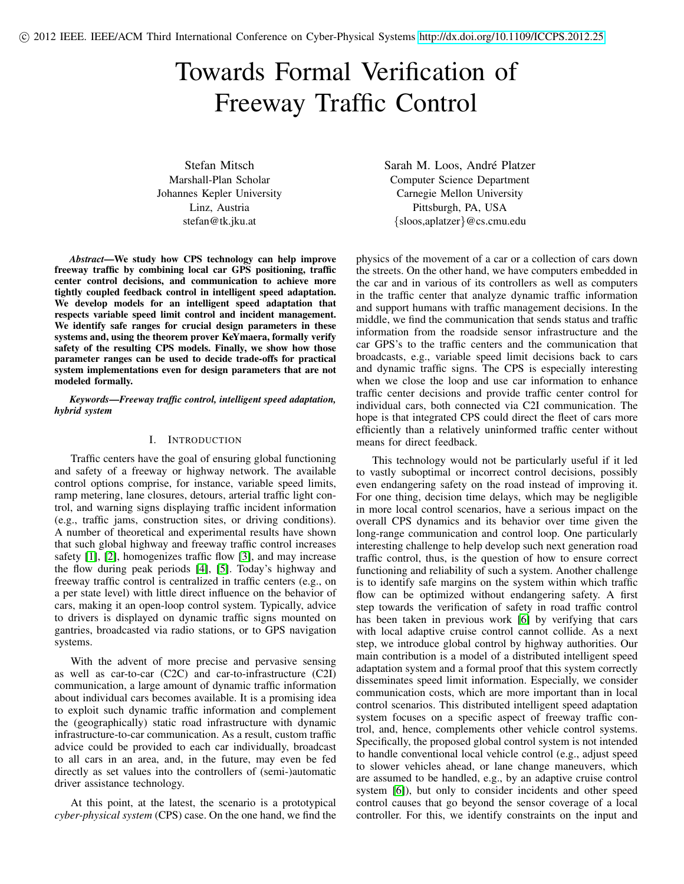# Towards Formal Verification of Freeway Traffic Control

Stefan Mitsch Marshall-Plan Scholar Johannes Kepler University Linz, Austria stefan@tk.jku.at

*Abstract*—We study how CPS technology can help improve freeway traffic by combining local car GPS positioning, traffic center control decisions, and communication to achieve more tightly coupled feedback control in intelligent speed adaptation. We develop models for an intelligent speed adaptation that respects variable speed limit control and incident management. We identify safe ranges for crucial design parameters in these systems and, using the theorem prover KeYmaera, formally verify safety of the resulting CPS models. Finally, we show how those parameter ranges can be used to decide trade-offs for practical system implementations even for design parameters that are not modeled formally.

*Keywords*—*Freeway traffic control, intelligent speed adaptation, hybrid system*

## I. INTRODUCTION

Traffic centers have the goal of ensuring global functioning and safety of a freeway or highway network. The available control options comprise, for instance, variable speed limits, ramp metering, lane closures, detours, arterial traffic light control, and warning signs displaying traffic incident information (e.g., traffic jams, construction sites, or driving conditions). A number of theoretical and experimental results have shown that such global highway and freeway traffic control increases safety [\[1\]](#page-8-0), [\[2\]](#page-8-1), homogenizes traffic flow [\[3\]](#page-8-2), and may increase the flow during peak periods [\[4\]](#page-8-3), [\[5\]](#page-8-4). Today's highway and freeway traffic control is centralized in traffic centers (e.g., on a per state level) with little direct influence on the behavior of cars, making it an open-loop control system. Typically, advice to drivers is displayed on dynamic traffic signs mounted on gantries, broadcasted via radio stations, or to GPS navigation systems.

With the advent of more precise and pervasive sensing as well as car-to-car (C2C) and car-to-infrastructure (C2I) communication, a large amount of dynamic traffic information about individual cars becomes available. It is a promising idea to exploit such dynamic traffic information and complement the (geographically) static road infrastructure with dynamic infrastructure-to-car communication. As a result, custom traffic advice could be provided to each car individually, broadcast to all cars in an area, and, in the future, may even be fed directly as set values into the controllers of (semi-)automatic driver assistance technology.

At this point, at the latest, the scenario is a prototypical *cyber-physical system* (CPS) case. On the one hand, we find the Sarah M. Loos, André Platzer Computer Science Department Carnegie Mellon University Pittsburgh, PA, USA {sloos,aplatzer}@cs.cmu.edu

physics of the movement of a car or a collection of cars down the streets. On the other hand, we have computers embedded in the car and in various of its controllers as well as computers in the traffic center that analyze dynamic traffic information and support humans with traffic management decisions. In the middle, we find the communication that sends status and traffic information from the roadside sensor infrastructure and the car GPS's to the traffic centers and the communication that broadcasts, e.g., variable speed limit decisions back to cars and dynamic traffic signs. The CPS is especially interesting when we close the loop and use car information to enhance traffic center decisions and provide traffic center control for individual cars, both connected via C2I communication. The hope is that integrated CPS could direct the fleet of cars more efficiently than a relatively uninformed traffic center without means for direct feedback.

This technology would not be particularly useful if it led to vastly suboptimal or incorrect control decisions, possibly even endangering safety on the road instead of improving it. For one thing, decision time delays, which may be negligible in more local control scenarios, have a serious impact on the overall CPS dynamics and its behavior over time given the long-range communication and control loop. One particularly interesting challenge to help develop such next generation road traffic control, thus, is the question of how to ensure correct functioning and reliability of such a system. Another challenge is to identify safe margins on the system within which traffic flow can be optimized without endangering safety. A first step towards the verification of safety in road traffic control has been taken in previous work [\[6\]](#page-8-5) by verifying that cars with local adaptive cruise control cannot collide. As a next step, we introduce global control by highway authorities. Our main contribution is a model of a distributed intelligent speed adaptation system and a formal proof that this system correctly disseminates speed limit information. Especially, we consider communication costs, which are more important than in local control scenarios. This distributed intelligent speed adaptation system focuses on a specific aspect of freeway traffic control, and, hence, complements other vehicle control systems. Specifically, the proposed global control system is not intended to handle conventional local vehicle control (e.g., adjust speed to slower vehicles ahead, or lane change maneuvers, which are assumed to be handled, e.g., by an adaptive cruise control system [\[6\]](#page-8-5)), but only to consider incidents and other speed control causes that go beyond the sensor coverage of a local controller. For this, we identify constraints on the input and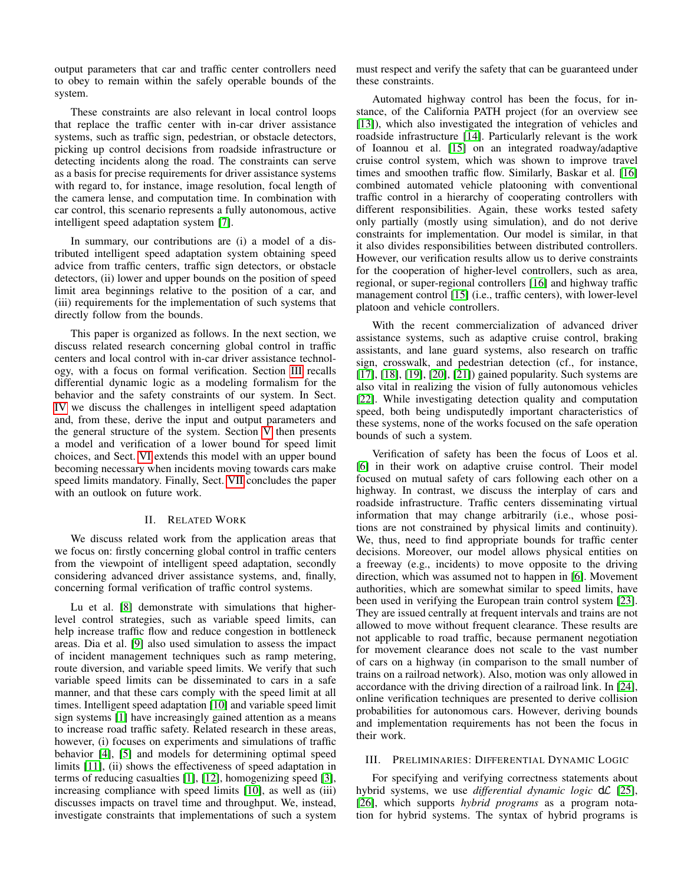output parameters that car and traffic center controllers need to obey to remain within the safely operable bounds of the system.

These constraints are also relevant in local control loops that replace the traffic center with in-car driver assistance systems, such as traffic sign, pedestrian, or obstacle detectors, picking up control decisions from roadside infrastructure or detecting incidents along the road. The constraints can serve as a basis for precise requirements for driver assistance systems with regard to, for instance, image resolution, focal length of the camera lense, and computation time. In combination with car control, this scenario represents a fully autonomous, active intelligent speed adaptation system [\[7\]](#page-8-6).

In summary, our contributions are (i) a model of a distributed intelligent speed adaptation system obtaining speed advice from traffic centers, traffic sign detectors, or obstacle detectors, (ii) lower and upper bounds on the position of speed limit area beginnings relative to the position of a car, and (iii) requirements for the implementation of such systems that directly follow from the bounds.

This paper is organized as follows. In the next section, we discuss related research concerning global control in traffic centers and local control with in-car driver assistance technology, with a focus on formal verification. Section [III](#page-1-0) recalls differential dynamic logic as a modeling formalism for the behavior and the safety constraints of our system. In Sect. [IV](#page-2-0) we discuss the challenges in intelligent speed adaptation and, from these, derive the input and output parameters and the general structure of the system. Section [V](#page-3-0) then presents a model and verification of a lower bound for speed limit choices, and Sect. [VI](#page-5-0) extends this model with an upper bound becoming necessary when incidents moving towards cars make speed limits mandatory. Finally, Sect. [VII](#page-7-0) concludes the paper with an outlook on future work.

### II. RELATED WORK

We discuss related work from the application areas that we focus on: firstly concerning global control in traffic centers from the viewpoint of intelligent speed adaptation, secondly considering advanced driver assistance systems, and, finally, concerning formal verification of traffic control systems.

Lu et al. [\[8\]](#page-8-7) demonstrate with simulations that higherlevel control strategies, such as variable speed limits, can help increase traffic flow and reduce congestion in bottleneck areas. Dia et al. [\[9\]](#page-8-8) also used simulation to assess the impact of incident management techniques such as ramp metering, route diversion, and variable speed limits. We verify that such variable speed limits can be disseminated to cars in a safe manner, and that these cars comply with the speed limit at all times. Intelligent speed adaptation [\[10\]](#page-8-9) and variable speed limit sign systems [\[1\]](#page-8-0) have increasingly gained attention as a means to increase road traffic safety. Related research in these areas, however, (i) focuses on experiments and simulations of traffic behavior [\[4\]](#page-8-3), [\[5\]](#page-8-4) and models for determining optimal speed limits [\[11\]](#page-8-10), (ii) shows the effectiveness of speed adaptation in terms of reducing casualties [\[1\]](#page-8-0), [\[12\]](#page-8-11), homogenizing speed [\[3\]](#page-8-2), increasing compliance with speed limits [\[10\]](#page-8-9), as well as (iii) discusses impacts on travel time and throughput. We, instead, investigate constraints that implementations of such a system must respect and verify the safety that can be guaranteed under these constraints.

Automated highway control has been the focus, for instance, of the California PATH project (for an overview see [\[13\]](#page-8-12)), which also investigated the integration of vehicles and roadside infrastructure [\[14\]](#page-8-13). Particularly relevant is the work of Ioannou et al. [\[15\]](#page-8-14) on an integrated roadway/adaptive cruise control system, which was shown to improve travel times and smoothen traffic flow. Similarly, Baskar et al. [\[16\]](#page-8-15) combined automated vehicle platooning with conventional traffic control in a hierarchy of cooperating controllers with different responsibilities. Again, these works tested safety only partially (mostly using simulation), and do not derive constraints for implementation. Our model is similar, in that it also divides responsibilities between distributed controllers. However, our verification results allow us to derive constraints for the cooperation of higher-level controllers, such as area, regional, or super-regional controllers [\[16\]](#page-8-15) and highway traffic management control [\[15\]](#page-8-14) (i.e., traffic centers), with lower-level platoon and vehicle controllers.

With the recent commercialization of advanced driver assistance systems, such as adaptive cruise control, braking assistants, and lane guard systems, also research on traffic sign, crosswalk, and pedestrian detection (cf., for instance, [\[17\]](#page-8-16), [\[18\]](#page-8-17), [\[19\]](#page-8-18), [\[20\]](#page-8-19), [\[21\]](#page-8-20)) gained popularity. Such systems are also vital in realizing the vision of fully autonomous vehicles [\[22\]](#page-8-21). While investigating detection quality and computation speed, both being undisputedly important characteristics of these systems, none of the works focused on the safe operation bounds of such a system.

Verification of safety has been the focus of Loos et al. [\[6\]](#page-8-5) in their work on adaptive cruise control. Their model focused on mutual safety of cars following each other on a highway. In contrast, we discuss the interplay of cars and roadside infrastructure. Traffic centers disseminating virtual information that may change arbitrarily (i.e., whose positions are not constrained by physical limits and continuity). We, thus, need to find appropriate bounds for traffic center decisions. Moreover, our model allows physical entities on a freeway (e.g., incidents) to move opposite to the driving direction, which was assumed not to happen in [\[6\]](#page-8-5). Movement authorities, which are somewhat similar to speed limits, have been used in verifying the European train control system [\[23\]](#page-8-22). They are issued centrally at frequent intervals and trains are not allowed to move without frequent clearance. These results are not applicable to road traffic, because permanent negotiation for movement clearance does not scale to the vast number of cars on a highway (in comparison to the small number of trains on a railroad network). Also, motion was only allowed in accordance with the driving direction of a railroad link. In [\[24\]](#page-8-23), online verification techniques are presented to derive collision probabilities for autonomous cars. However, deriving bounds and implementation requirements has not been the focus in their work.

## <span id="page-1-0"></span>III. PRELIMINARIES: DIFFERENTIAL DYNAMIC LOGIC

For specifying and verifying correctness statements about hybrid systems, we use *differential dynamic logic* d $\mathcal{L}$  [\[25\]](#page-8-24), [\[26\]](#page-8-25), which supports *hybrid programs* as a program notation for hybrid systems. The syntax of hybrid programs is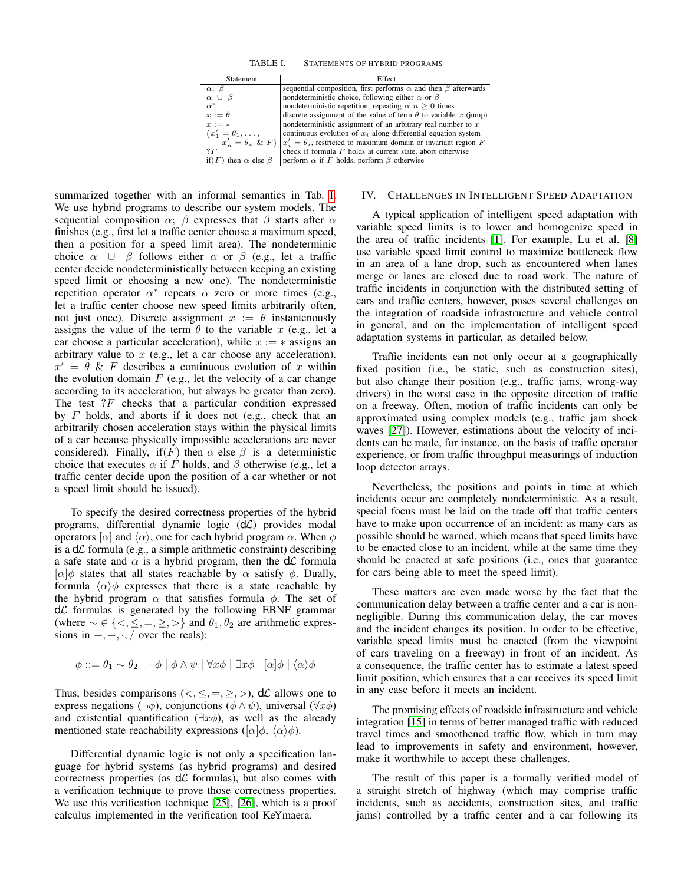TABLE I. STATEMENTS OF HYBRID PROGRAMS

| <b>Statement</b>                    | Effect                                                                                             |
|-------------------------------------|----------------------------------------------------------------------------------------------------|
| $\alpha$ ; $\beta$                  | sequential composition, first performs $\alpha$ and then $\beta$ afterwards                        |
| $\alpha \cup$<br>- 6                | nondeterministic choice, following either $\alpha$ or $\beta$                                      |
| $\alpha^*$                          | nondeterministic repetition, repeating $\alpha$ $n > 0$ times                                      |
| $x := \theta$                       | discrete assignment of the value of term $\theta$ to variable x (jump)                             |
| $x := *$                            | nondeterministic assignment of an arbitrary real number to $x$                                     |
| $(x'_1 = \theta_1, \ldots,$         | continuous evolution of $x_i$ along differential equation system                                   |
|                                     | $x'_n = \theta_n \& F$ $\mid x'_i = \theta_i$ , restricted to maximum domain or invariant region F |
| 7 F                                 | check if formula $F$ holds at current state, abort otherwise                                       |
| if $(F)$ then $\alpha$ else $\beta$ | perform $\alpha$ if F holds, perform $\beta$ otherwise                                             |

<span id="page-2-1"></span>summarized together with an informal semantics in Tab. [I.](#page-2-1) We use hybrid programs to describe our system models. The sequential composition  $\alpha$ ;  $\beta$  expresses that  $\beta$  starts after  $\alpha$ finishes (e.g., first let a traffic center choose a maximum speed, then a position for a speed limit area). The nondeterminic choice  $\alpha \cup \beta$  follows either  $\alpha$  or  $\beta$  (e.g., let a traffic center decide nondeterministically between keeping an existing speed limit or choosing a new one). The nondeterministic repetition operator  $\alpha^*$  repeats  $\alpha$  zero or more times (e.g., let a traffic center choose new speed limits arbitrarily often, not just once). Discrete assignment  $x := \theta$  instantenously assigns the value of the term  $\theta$  to the variable x (e.g., let a car choose a particular acceleration), while  $x := *$  assigns an arbitrary value to  $x$  (e.g., let a car choose any acceleration).  $x' = \theta$  & F describes a continuous evolution of x within the evolution domain  $F$  (e.g., let the velocity of a car change according to its acceleration, but always be greater than zero). The test  $?F$  checks that a particular condition expressed by  $F$  holds, and aborts if it does not (e.g., check that an arbitrarily chosen acceleration stays within the physical limits of a car because physically impossible accelerations are never considered). Finally, if  $(F)$  then  $\alpha$  else  $\beta$  is a deterministic choice that executes  $\alpha$  if F holds, and  $\beta$  otherwise (e.g., let a traffic center decide upon the position of a car whether or not a speed limit should be issued).

To specify the desired correctness properties of the hybrid programs, differential dynamic logic  $(d\mathcal{L})$  provides modal operators  $\alpha$  and  $\langle \alpha \rangle$ , one for each hybrid program  $\alpha$ . When  $\phi$ is a  $d\mathcal{L}$  formula (e.g., a simple arithmetic constraint) describing a safe state and  $\alpha$  is a hybrid program, then the d $\alpha$  formula  $[\alpha]\phi$  states that all states reachable by  $\alpha$  satisfy  $\phi$ . Dually, formula  $\langle \alpha \rangle \phi$  expresses that there is a state reachable by the hybrid program  $\alpha$  that satisfies formula  $\phi$ . The set of  $d\mathcal{L}$  formulas is generated by the following EBNF grammar (where  $\sim \in \{ \leq, \leq, =, \geq, \geq \}$  and  $\theta_1, \theta_2$  are arithmetic expressions in  $+,-, \cdot, /$  over the reals):

$$
\phi ::= \theta_1 \sim \theta_2 \mid \neg \phi \mid \phi \land \psi \mid \forall x \phi \mid \exists x \phi \mid [\alpha] \phi \mid \langle \alpha \rangle \phi
$$

Thus, besides comparisons ( $\lt, \leq, =, \geq, >$ ), d $\&$  allows one to express negations (¬ $\phi$ ), conjunctions ( $\phi \land \psi$ ), universal ( $\forall x \phi$ ) and existential quantification  $(\exists x \phi)$ , as well as the already mentioned state reachability expressions ( $\alpha | \phi, \langle \alpha \rangle \phi$ ).

Differential dynamic logic is not only a specification language for hybrid systems (as hybrid programs) and desired correctness properties (as  $d\mathcal{L}$  formulas), but also comes with a verification technique to prove those correctness properties. We use this verification technique [\[25\]](#page-8-24), [\[26\]](#page-8-25), which is a proof calculus implemented in the verification tool KeYmaera.

## <span id="page-2-0"></span>IV. CHALLENGES IN INTELLIGENT SPEED ADAPTATION

A typical application of intelligent speed adaptation with variable speed limits is to lower and homogenize speed in the area of traffic incidents [\[1\]](#page-8-0). For example, Lu et al. [\[8\]](#page-8-7) use variable speed limit control to maximize bottleneck flow in an area of a lane drop, such as encountered when lanes merge or lanes are closed due to road work. The nature of traffic incidents in conjunction with the distributed setting of cars and traffic centers, however, poses several challenges on the integration of roadside infrastructure and vehicle control in general, and on the implementation of intelligent speed adaptation systems in particular, as detailed below.

Traffic incidents can not only occur at a geographically fixed position (i.e., be static, such as construction sites), but also change their position (e.g., traffic jams, wrong-way drivers) in the worst case in the opposite direction of traffic on a freeway. Often, motion of traffic incidents can only be approximated using complex models (e.g., traffic jam shock waves [\[27\]](#page-8-26)). However, estimations about the velocity of incidents can be made, for instance, on the basis of traffic operator experience, or from traffic throughput measurings of induction loop detector arrays.

Nevertheless, the positions and points in time at which incidents occur are completely nondeterministic. As a result, special focus must be laid on the trade off that traffic centers have to make upon occurrence of an incident: as many cars as possible should be warned, which means that speed limits have to be enacted close to an incident, while at the same time they should be enacted at safe positions (i.e., ones that guarantee for cars being able to meet the speed limit).

These matters are even made worse by the fact that the communication delay between a traffic center and a car is nonnegligible. During this communication delay, the car moves and the incident changes its position. In order to be effective, variable speed limits must be enacted (from the viewpoint of cars traveling on a freeway) in front of an incident. As a consequence, the traffic center has to estimate a latest speed limit position, which ensures that a car receives its speed limit in any case before it meets an incident.

The promising effects of roadside infrastructure and vehicle integration [\[15\]](#page-8-14) in terms of better managed traffic with reduced travel times and smoothened traffic flow, which in turn may lead to improvements in safety and environment, however, make it worthwhile to accept these challenges.

The result of this paper is a formally verified model of a straight stretch of highway (which may comprise traffic incidents, such as accidents, construction sites, and traffic jams) controlled by a traffic center and a car following its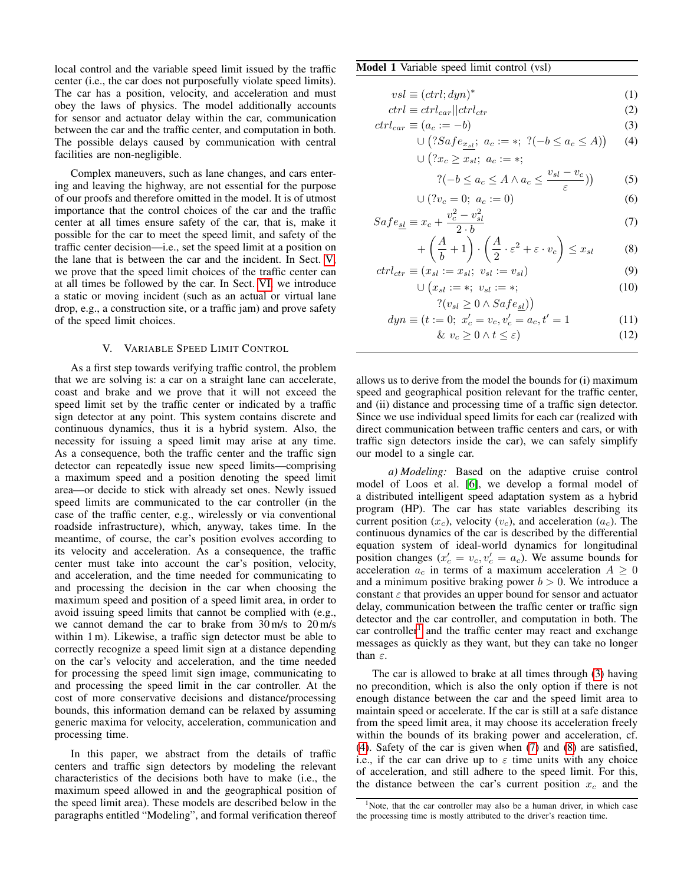local control and the variable speed limit issued by the traffic center (i.e., the car does not purposefully violate speed limits). The car has a position, velocity, and acceleration and must obey the laws of physics. The model additionally accounts for sensor and actuator delay within the car, communication between the car and the traffic center, and computation in both. The possible delays caused by communication with central facilities are non-negligible.

Complex maneuvers, such as lane changes, and cars entering and leaving the highway, are not essential for the purpose of our proofs and therefore omitted in the model. It is of utmost importance that the control choices of the car and the traffic center at all times ensure safety of the car, that is, make it possible for the car to meet the speed limit, and safety of the traffic center decision—i.e., set the speed limit at a position on the lane that is between the car and the incident. In Sect. [V,](#page-3-0) we prove that the speed limit choices of the traffic center can at all times be followed by the car. In Sect. [VI,](#page-5-0) we introduce a static or moving incident (such as an actual or virtual lane drop, e.g., a construction site, or a traffic jam) and prove safety of the speed limit choices.

# V. VARIABLE SPEED LIMIT CONTROL

<span id="page-3-0"></span>As a first step towards verifying traffic control, the problem that we are solving is: a car on a straight lane can accelerate, coast and brake and we prove that it will not exceed the speed limit set by the traffic center or indicated by a traffic sign detector at any point. This system contains discrete and continuous dynamics, thus it is a hybrid system. Also, the necessity for issuing a speed limit may arise at any time. As a consequence, both the traffic center and the traffic sign detector can repeatedly issue new speed limits—comprising a maximum speed and a position denoting the speed limit area—or decide to stick with already set ones. Newly issued speed limits are communicated to the car controller (in the case of the traffic center, e.g., wirelessly or via conventional roadside infrastructure), which, anyway, takes time. In the meantime, of course, the car's position evolves according to its velocity and acceleration. As a consequence, the traffic center must take into account the car's position, velocity, and acceleration, and the time needed for communicating to and processing the decision in the car when choosing the maximum speed and position of a speed limit area, in order to avoid issuing speed limits that cannot be complied with (e.g., we cannot demand the car to brake from 30 m/s to 20 m/s within 1 m). Likewise, a traffic sign detector must be able to correctly recognize a speed limit sign at a distance depending on the car's velocity and acceleration, and the time needed for processing the speed limit sign image, communicating to and processing the speed limit in the car controller. At the cost of more conservative decisions and distance/processing bounds, this information demand can be relaxed by assuming generic maxima for velocity, acceleration, communication and processing time.

In this paper, we abstract from the details of traffic centers and traffic sign detectors by modeling the relevant characteristics of the decisions both have to make (i.e., the maximum speed allowed in and the geographical position of the speed limit area). These models are described below in the paragraphs entitled "Modeling", and formal verification thereof

### <span id="page-3-14"></span>Model 1 Variable speed limit control (vsl)

$$
vsl \equiv (ctrl; dyn)^* \tag{1}
$$

$$
ctrl \equiv ctrl_{car} ||ctrl_{ctr}
$$
\n(2)

$$
ctrl_{car} \equiv (a_c := -b) \tag{3}
$$

$$
\cup (?Safe_{x_{sl}}; a_c := *, ?(-b \le a_c \le A)) \quad (4)
$$
  

$$
\cup (?x_c \ge x_{sl}; a_c := *;
$$

<span id="page-3-11"></span><span id="page-3-10"></span><span id="page-3-7"></span><span id="page-3-6"></span><span id="page-3-5"></span><span id="page-3-4"></span><span id="page-3-3"></span><span id="page-3-2"></span>
$$
?(-b \le a_c \le A \land a_c \le \frac{v_{sl} - v_c}{\varepsilon}) \tag{5}
$$

$$
\cup (?v_c = 0; \ a_c := 0) \tag{6}
$$

$$
Safe_{\underline{sl}} \equiv x_c + \frac{v_c^2 - v_{\underline{sl}}^2}{2 \cdot b} \tag{7}
$$

$$
+\left(\frac{A}{b}+1\right)\cdot\left(\frac{A}{2}\cdot\varepsilon^2+\varepsilon\cdot v_c\right)\leq x_{sl}\tag{8}
$$

$$
ctrl_{ctr} \equiv (x_{sl} := x_{sl}; \ v_{sl} := v_{sl}) \tag{9}
$$

<span id="page-3-13"></span><span id="page-3-12"></span><span id="page-3-9"></span><span id="page-3-8"></span>
$$
\cup \left(x_{sl} := *; v_{sl} := *; \right) \tag{10}
$$

$$
?(v_{sl} \ge 0 \land Safe_{sl}))
$$
  

$$
dyn \equiv (t := 0; x'_{c} = v_{c}, v'_{c} = a_{c}, t' = 1
$$
 (11)

$$
\& v_c \ge 0 \land t \le \varepsilon \tag{12}
$$

allows us to derive from the model the bounds for (i) maximum speed and geographical position relevant for the traffic center, and (ii) distance and processing time of a traffic sign detector. Since we use individual speed limits for each car (realized with direct communication between traffic centers and cars, or with traffic sign detectors inside the car), we can safely simplify our model to a single car.

*a) Modeling:* Based on the adaptive cruise control model of Loos et al. [\[6\]](#page-8-5), we develop a formal model of a distributed intelligent speed adaptation system as a hybrid program (HP). The car has state variables describing its current position  $(x_c)$ , velocity  $(v_c)$ , and acceleration  $(a_c)$ . The continuous dynamics of the car is described by the differential equation system of ideal-world dynamics for longitudinal position changes  $(x'_c = v_c, v'_c = a_c)$ . We assume bounds for acceleration  $a_c$  in terms of a maximum acceleration  $A \geq 0$ and a minimum positive braking power  $b > 0$ . We introduce a constant  $\varepsilon$  that provides an upper bound for sensor and actuator delay, communication between the traffic center or traffic sign detector and the car controller, and computation in both. The car controller<sup>[1](#page-3-1)</sup> and the traffic center may react and exchange messages as quickly as they want, but they can take no longer than  $\varepsilon$ .

The car is allowed to brake at all times through [\(3\)](#page-3-2) having no precondition, which is also the only option if there is not enough distance between the car and the speed limit area to maintain speed or accelerate. If the car is still at a safe distance from the speed limit area, it may choose its acceleration freely within the bounds of its braking power and acceleration, cf. [\(4\)](#page-3-3). Safety of the car is given when [\(7\)](#page-3-4) and [\(8\)](#page-3-5) are satisfied, i.e., if the car can drive up to  $\varepsilon$  time units with any choice of acceleration, and still adhere to the speed limit. For this, the distance between the car's current position  $x_c$  and the

<span id="page-3-1"></span><sup>&</sup>lt;sup>1</sup>Note, that the car controller may also be a human driver, in which case the processing time is mostly attributed to the driver's reaction time.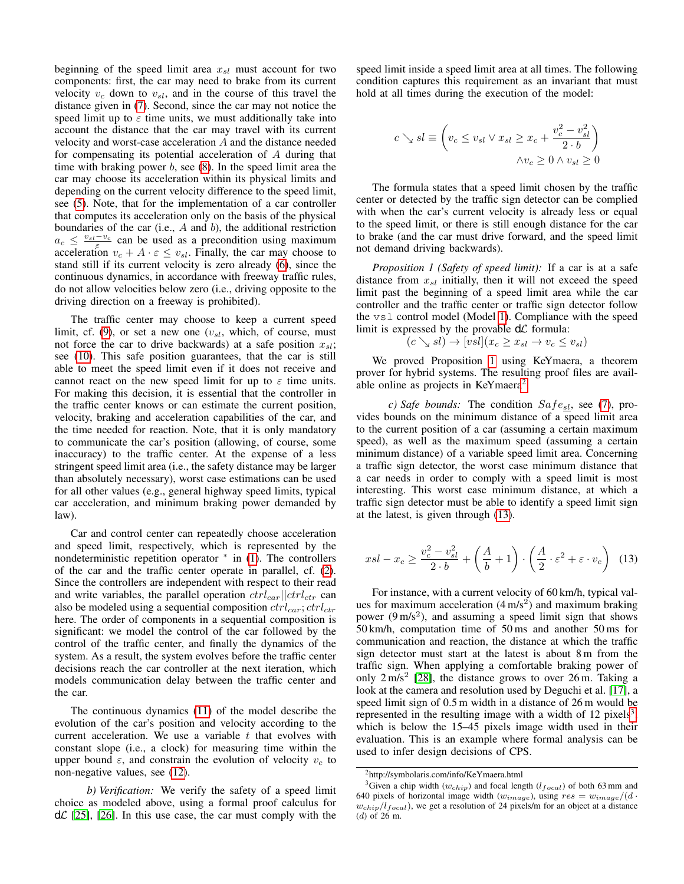beginning of the speed limit area  $x_{sl}$  must account for two components: first, the car may need to brake from its current velocity  $v_c$  down to  $v_{sl}$ , and in the course of this travel the distance given in [\(7\)](#page-3-4). Second, since the car may not notice the speed limit up to  $\varepsilon$  time units, we must additionally take into account the distance that the car may travel with its current velocity and worst-case acceleration A and the distance needed for compensating its potential acceleration of A during that time with braking power  $b$ , see  $(8)$ . In the speed limit area the car may choose its acceleration within its physical limits and depending on the current velocity difference to the speed limit, see [\(5\)](#page-3-6). Note, that for the implementation of a car controller that computes its acceleration only on the basis of the physical boundaries of the car (i.e.,  $A$  and  $b$ ), the additional restriction  $a_c \leq \frac{v_{sl}-v_c}{\varepsilon}$  can be used as a precondition using maximum acceleration  $v_c + A \cdot \varepsilon \leq v_{sl}$ . Finally, the car may choose to stand still if its current velocity is zero already [\(6\)](#page-3-7), since the continuous dynamics, in accordance with freeway traffic rules, do not allow velocities below zero (i.e., driving opposite to the driving direction on a freeway is prohibited).

The traffic center may choose to keep a current speed limit, cf. [\(9\)](#page-3-8), or set a new one  $(v_{sl},$  which, of course, must not force the car to drive backwards) at a safe position  $x_{sl}$ ; see [\(10\)](#page-3-9). This safe position guarantees, that the car is still able to meet the speed limit even if it does not receive and cannot react on the new speed limit for up to  $\varepsilon$  time units. For making this decision, it is essential that the controller in the traffic center knows or can estimate the current position, velocity, braking and acceleration capabilities of the car, and the time needed for reaction. Note, that it is only mandatory to communicate the car's position (allowing, of course, some inaccuracy) to the traffic center. At the expense of a less stringent speed limit area (i.e., the safety distance may be larger than absolutely necessary), worst case estimations can be used for all other values (e.g., general highway speed limits, typical car acceleration, and minimum braking power demanded by law).

Car and control center can repeatedly choose acceleration and speed limit, respectively, which is represented by the nondeterministic repetition operator <sup>∗</sup> in [\(1\)](#page-3-10). The controllers of the car and the traffic center operate in parallel, cf. [\(2\)](#page-3-11). Since the controllers are independent with respect to their read and write variables, the parallel operation  $ctrl_{car}||ctrl_{ctr}$  can also be modeled using a sequential composition  $ctrl_{car}$ ;  $ctrl_{ctr}$ here. The order of components in a sequential composition is significant: we model the control of the car followed by the control of the traffic center, and finally the dynamics of the system. As a result, the system evolves before the traffic center decisions reach the car controller at the next iteration, which models communication delay between the traffic center and the car.

The continuous dynamics [\(11\)](#page-3-12) of the model describe the evolution of the car's position and velocity according to the current acceleration. We use a variable  $t$  that evolves with constant slope (i.e., a clock) for measuring time within the upper bound  $\varepsilon$ , and constrain the evolution of velocity  $v_c$  to non-negative values, see [\(12\)](#page-3-13).

*b) Verification:* We verify the safety of a speed limit choice as modeled above, using a formal proof calculus for  $d\mathcal{L}$  [\[25\]](#page-8-24), [\[26\]](#page-8-25). In this use case, the car must comply with the

speed limit inside a speed limit area at all times. The following condition captures this requirement as an invariant that must hold at all times during the execution of the model:

$$
c \searrow sl \equiv \left(v_c \le v_{sl} \vee x_{sl} \ge x_c + \frac{v_c^2 - v_{sl}^2}{2 \cdot b}\right) \wedge v_c \ge 0 \wedge v_{sl} \ge 0
$$

The formula states that a speed limit chosen by the traffic center or detected by the traffic sign detector can be complied with when the car's current velocity is already less or equal to the speed limit, or there is still enough distance for the car to brake (and the car must drive forward, and the speed limit not demand driving backwards).

<span id="page-4-0"></span>*Proposition 1 (Safety of speed limit):* If a car is at a safe distance from  $x_{sl}$  initially, then it will not exceed the speed limit past the beginning of a speed limit area while the car controller and the traffic center or traffic sign detector follow the vsl control model (Model [1\)](#page-3-14). Compliance with the speed limit is expressed by the provable  $d\mathcal{L}$  formula:

$$
(c \searrow sl) \rightarrow [vsl](x_c \ge x_{sl} \rightarrow v_c \le v_{sl})
$$

We proved Proposition [1](#page-4-0) using KeYmaera, a theorem prover for hybrid systems. The resulting proof files are avail-able online as projects in KeYmaera<sup>[2](#page-4-1)</sup>.

 $c)$  Safe bounds: The condition  $Safe_{sl}$ , see [\(7\)](#page-3-4), provides bounds on the minimum distance of a speed limit area to the current position of a car (assuming a certain maximum speed), as well as the maximum speed (assuming a certain minimum distance) of a variable speed limit area. Concerning a traffic sign detector, the worst case minimum distance that a car needs in order to comply with a speed limit is most interesting. This worst case minimum distance, at which a traffic sign detector must be able to identify a speed limit sign at the latest, is given through [\(13\)](#page-4-2).

<span id="page-4-2"></span>
$$
xsl - x_c \ge \frac{v_c^2 - v_{sl}^2}{2 \cdot b} + \left(\frac{A}{b} + 1\right) \cdot \left(\frac{A}{2} \cdot \varepsilon^2 + \varepsilon \cdot v_c\right) \tag{13}
$$

For instance, with a current velocity of 60 km/h, typical values for maximum acceleration  $(4 \text{ m/s}^2)$  and maximum braking power  $(9 \text{ m/s}^2)$ , and assuming a speed limit sign that shows 50 km/h, computation time of 50 ms and another 50 ms for communication and reaction, the distance at which the traffic sign detector must start at the latest is about 8 m from the traffic sign. When applying a comfortable braking power of only  $2 \text{ m/s}^2$  [\[28\]](#page-8-27), the distance grows to over  $26 \text{ m}$ . Taking a look at the camera and resolution used by Deguchi et al. [\[17\]](#page-8-16), a speed limit sign of 0.5 m width in a distance of 26 m would be represented in the resulting image with a width of  $12$  pixels<sup>[3](#page-4-3)</sup>, which is below the 15–45 pixels image width used in their evaluation. This is an example where formal analysis can be used to infer design decisions of CPS.

<span id="page-4-3"></span><span id="page-4-1"></span><sup>2</sup>http://symbolaris.com/info/KeYmaera.html

<sup>&</sup>lt;sup>3</sup>Given a chip width ( $w_{chip}$ ) and focal length ( $l_{focal}$ ) of both 63 mm and 640 pixels of horizontal image width  $(w_{image})$ , using  $res = w_{image}/(d \cdot$  $w_{chip}/l_{focal}$ , we get a resolution of 24 pixels/m for an object at a distance  $(d)$  of  $26$  m.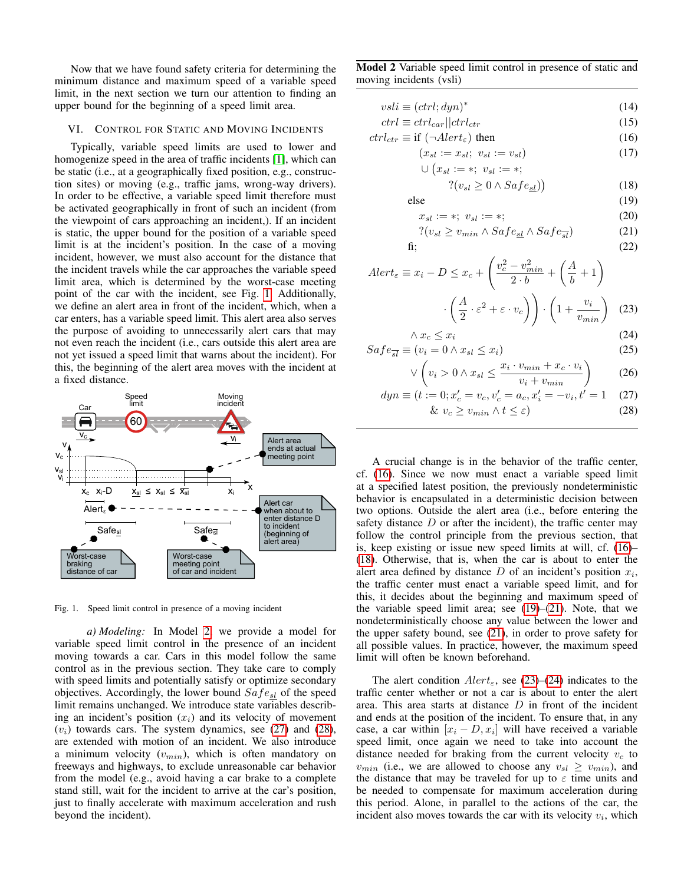Now that we have found safety criteria for determining the minimum distance and maximum speed of a variable speed limit, in the next section we turn our attention to finding an upper bound for the beginning of a speed limit area.

## <span id="page-5-0"></span>VI. CONTROL FOR STATIC AND MOVING INCIDENTS

Typically, variable speed limits are used to lower and homogenize speed in the area of traffic incidents [\[1\]](#page-8-0), which can be static (i.e., at a geographically fixed position, e.g., construction sites) or moving (e.g., traffic jams, wrong-way drivers). In order to be effective, a variable speed limit therefore must be activated geographically in front of such an incident (from the viewpoint of cars approaching an incident,). If an incident is static, the upper bound for the position of a variable speed limit is at the incident's position. In the case of a moving incident, however, we must also account for the distance that the incident travels while the car approaches the variable speed limit area, which is determined by the worst-case meeting point of the car with the incident, see Fig. [1.](#page-5-1) Additionally, we define an alert area in front of the incident, which, when a car enters, has a variable speed limit. This alert area also serves the purpose of avoiding to unnecessarily alert cars that may not even reach the incident (i.e., cars outside this alert area are not yet issued a speed limit that warns about the incident). For this, the beginning of the alert area moves with the incident at a fixed distance.



<span id="page-5-1"></span>Fig. 1. Speed limit control in presence of a moving incident

*a) Modeling:* In Model [2,](#page-5-2) we provide a model for variable speed limit control in the presence of an incident moving towards a car. Cars in this model follow the same control as in the previous section. They take care to comply with speed limits and potentially satisfy or optimize secondary objectives. Accordingly, the lower bound  $Safe_{sl}$  of the speed limit remains unchanged. We introduce state variables describing an incident's position  $(x_i)$  and its velocity of movement  $(v_i)$  towards cars. The system dynamics, see [\(27\)](#page-5-3) and [\(28\)](#page-5-4), are extended with motion of an incident. We also introduce a minimum velocity  $(v_{min})$ , which is often mandatory on freeways and highways, to exclude unreasonable car behavior from the model (e.g., avoid having a car brake to a complete stand still, wait for the incident to arrive at the car's position, just to finally accelerate with maximum acceleration and rush beyond the incident).

Model 2 Variable speed limit control in presence of static and moving incidents (vsli)

<span id="page-5-2"></span>
$$
vsli \equiv (ctrl; dyn)^* \tag{14}
$$

$$
ctrl \equiv \left. \frac{ctrl_{car}}{\left| \frac{ctrl_{ctr}}{\left( \frac{dr}{dt} \right)} \right|} \right|
$$
 (15)

$$
ctrl_{ctr} \equiv \text{if } (\neg Alert_{\varepsilon}) \text{ then } \tag{16}
$$

$$
(x_{sl} := x_{sl}; v_{sl} := v_{sl})
$$
\n<sup>(17)</sup>

$$
\bigcup \left( x_{sl} := *; \ v_{sl} := *; \right. \\
\bigcup \left( x_{sl} := *; \ v_{sl} = *; \right) \tag{10}
$$

<span id="page-5-8"></span><span id="page-5-7"></span><span id="page-5-6"></span><span id="page-5-5"></span>
$$
?(v_{sl} \ge 0 \land Safe_{sl})\big) \tag{18}
$$

else (19) xsl := ∗; vsl := ∗; (20)

$$
? (v_{sl} \ge v_{min} \land Safe_{sl} \land Safe_{\overline{sl}})
$$
 (21)

$$
fi; \t(22)
$$

$$
Alert_{\varepsilon} \equiv x_i - D \le x_c + \left(\frac{v_c^2 - v_{min}^2}{2 \cdot b} + \left(\frac{A}{b} + 1\right) \right)
$$

$$
\cdot \left(\frac{A}{2} \cdot \varepsilon^2 + \varepsilon \cdot v_c\right) \cdot \left(1 + \frac{v_i}{v_{min}}\right) \tag{23}
$$

<span id="page-5-11"></span><span id="page-5-10"></span><span id="page-5-9"></span>
$$
\begin{pmatrix} 2 & e^{-i(c-c)} \\ 2 & e^{-i(c)} \end{pmatrix} \begin{pmatrix} 1 & e^{-i(c)} \\ e^{-i(c)} & e^{-i(c)} \\ 2 & e^{-i(c)} \end{pmatrix}
$$
 (24)

$$
Safe_{\overline{sl}} \equiv (v_i = 0 \land x_{sl} \le x_i)
$$
\n<sup>(25)</sup>

<span id="page-5-12"></span><span id="page-5-4"></span><span id="page-5-3"></span>
$$
\vee \left(v_i > 0 \land x_{sl} \le \frac{x_i \cdot v_{min} + x_c \cdot v_i}{v_i + v_{min}}\right) \tag{26}
$$

$$
dyn \equiv (t := 0; x_c' = v_c, v_c' = a_c, x_i' = -v_i, t' = 1 \quad (27)
$$

$$
\& v_c \ge v_{min} \land t \le \varepsilon)
$$
\n<sup>(28)</sup>

A crucial change is in the behavior of the traffic center, cf. [\(16\)](#page-5-5). Since we now must enact a variable speed limit at a specified latest position, the previously nondeterministic behavior is encapsulated in a deterministic decision between two options. Outside the alert area (i.e., before entering the safety distance  $D$  or after the incident), the traffic center may follow the control principle from the previous section, that is, keep existing or issue new speed limits at will, cf. [\(16\)](#page-5-5)– [\(18\)](#page-5-6). Otherwise, that is, when the car is about to enter the alert area defined by distance  $D$  of an incident's position  $x_i$ , the traffic center must enact a variable speed limit, and for this, it decides about the beginning and maximum speed of the variable speed limit area; see  $(19)$ – $(21)$ . Note, that we nondeterministically choose any value between the lower and the upper safety bound, see [\(21\)](#page-5-8), in order to prove safety for all possible values. In practice, however, the maximum speed limit will often be known beforehand.

The alert condition  $Alert_{\epsilon}$ , see [\(23\)](#page-5-9)–[\(24\)](#page-5-10) indicates to the traffic center whether or not a car is about to enter the alert area. This area starts at distance  $D$  in front of the incident and ends at the position of the incident. To ensure that, in any case, a car within  $[x_i - D, x_i]$  will have received a variable speed limit, once again we need to take into account the distance needed for braking from the current velocity  $v_c$  to  $v_{min}$  (i.e., we are allowed to choose any  $v_{sl} \ge v_{min}$ ), and the distance that may be traveled for up to  $\varepsilon$  time units and be needed to compensate for maximum acceleration during this period. Alone, in parallel to the actions of the car, the incident also moves towards the car with its velocity  $v_i$ , which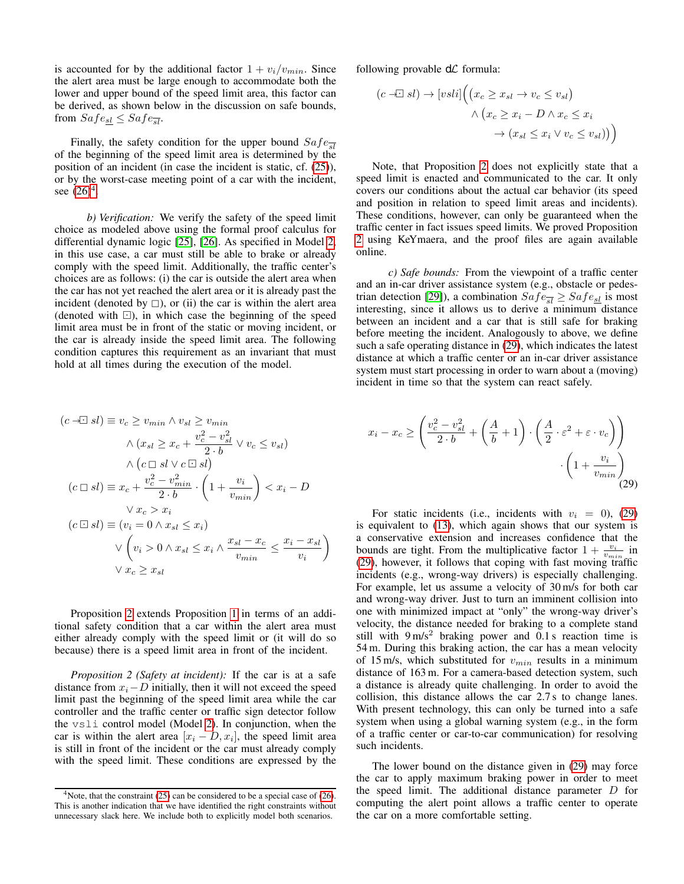is accounted for by the additional factor  $1 + v_i/v_{min}$ . Since the alert area must be large enough to accommodate both the lower and upper bound of the speed limit area, this factor can be derived, as shown below in the discussion on safe bounds, from  $Safe_{\le l} \le Safe_{\overline{sl}}$ .

Finally, the safety condition for the upper bound  $Safe_{\overline{sl}}$ of the beginning of the speed limit area is determined by the position of an incident (in case the incident is static, cf. [\(25\)](#page-5-11)), or by the worst-case meeting point of a car with the incident, see  $(26)^4$  $(26)^4$  $(26)^4$ .

*b) Verification:* We verify the safety of the speed limit choice as modeled above using the formal proof calculus for differential dynamic logic [\[25\]](#page-8-24), [\[26\]](#page-8-25). As specified in Model [2,](#page-5-2) in this use case, a car must still be able to brake or already comply with the speed limit. Additionally, the traffic center's choices are as follows: (i) the car is outside the alert area when the car has not yet reached the alert area or it is already past the incident (denoted by  $\Box$ ), or (ii) the car is within the alert area (denoted with  $\Box$ ), in which case the beginning of the speed limit area must be in front of the static or moving incident, or the car is already inside the speed limit area. The following condition captures this requirement as an invariant that must hold at all times during the execution of the model.

$$
(c \quad \exists \exists \exists \exists \exists \exists \exists \exists \exists \forall c \geq v_{min} \land v_{sl} \geq v_{min}
$$
\n
$$
\land (x_{sl} \geq x_c + \frac{v_c^2 - v_{sl}^2}{2 \cdot b} \lor v_c \leq v_{sl})
$$
\n
$$
\land (c \sqcup sl \lor c \sqcup sl)
$$
\n
$$
(c \sqcup sl) \equiv x_c + \frac{v_c^2 - v_{min}^2}{2 \cdot b} \cdot \left(1 + \frac{v_i}{v_{min}}\right) < x_i - D
$$
\n
$$
\lor x_c > x_i
$$
\n
$$
(c \sqcup sl) \equiv (v_i = 0 \land x_{sl} \leq x_i)
$$
\n
$$
\lor \left(v_i > 0 \land x_{sl} \leq x_i \land \frac{x_{sl} - x_c}{v_{min}} \leq \frac{x_i - x_{sl}}{v_i}\right)
$$
\n
$$
\lor x_c \geq x_{sl}
$$

Proposition [2](#page-6-1) extends Proposition [1](#page-4-0) in terms of an additional safety condition that a car within the alert area must either already comply with the speed limit or (it will do so because) there is a speed limit area in front of the incident.

<span id="page-6-1"></span>*Proposition 2 (Safety at incident):* If the car is at a safe distance from  $x_i - D$  initially, then it will not exceed the speed limit past the beginning of the speed limit area while the car controller and the traffic center or traffic sign detector follow the vsli control model (Model [2\)](#page-5-2). In conjunction, when the car is within the alert area  $[x_i - D, x_i]$ , the speed limit area is still in front of the incident or the car must already comply with the speed limit. These conditions are expressed by the following provable  $d\mathcal{L}$  formula:

$$
(c \exists \exists sl) \rightarrow [vsli] \Big( \big( x_c \ge x_{sl} \to v_c \le v_{sl} \big) \times \big( x_c \ge x_i - D \land x_c \le x_i \to (x_{sl} \le x_i \lor v_c \le v_{sl}) \big) \Big)
$$

Note, that Proposition [2](#page-6-1) does not explicitly state that a speed limit is enacted and communicated to the car. It only covers our conditions about the actual car behavior (its speed and position in relation to speed limit areas and incidents). These conditions, however, can only be guaranteed when the traffic center in fact issues speed limits. We proved Proposition [2](#page-6-1) using KeYmaera, and the proof files are again available online.

*c) Safe bounds:* From the viewpoint of a traffic center and an in-car driver assistance system (e.g., obstacle or pedes-trian detection [\[29\]](#page-8-28)), a combination  $Safe_{\overline{sl}} \geq Safe_{\underline{sl}}$  is most interesting, since it allows us to derive a minimum distance between an incident and a car that is still safe for braking before meeting the incident. Analogously to above, we define such a safe operating distance in [\(29\)](#page-6-2), which indicates the latest distance at which a traffic center or an in-car driver assistance system must start processing in order to warn about a (moving) incident in time so that the system can react safely.

<span id="page-6-2"></span>
$$
x_i - x_c \ge \left(\frac{v_c^2 - v_{sl}^2}{2 \cdot b} + \left(\frac{A}{b} + 1\right) \cdot \left(\frac{A}{2} \cdot \varepsilon^2 + \varepsilon \cdot v_c\right)\right) \cdot \left(1 + \frac{v_i}{v_{min}}\right) \tag{29}
$$

For static incidents (i.e., incidents with  $v_i = 0$ ), [\(29\)](#page-6-2) is equivalent to [\(13\)](#page-4-2), which again shows that our system is a conservative extension and increases confidence that the bounds are tight. From the multiplicative factor  $1 + \frac{v_i}{v_{min}}$  in [\(29\)](#page-6-2), however, it follows that coping with fast moving traffic incidents (e.g., wrong-way drivers) is especially challenging. For example, let us assume a velocity of 30 m/s for both car and wrong-way driver. Just to turn an imminent collision into one with minimized impact at "only" the wrong-way driver's velocity, the distance needed for braking to a complete stand still with  $9 \text{ m/s}^2$  braking power and 0.1 s reaction time is 54 m. During this braking action, the car has a mean velocity of 15 m/s, which substituted for  $v_{min}$  results in a minimum distance of 163 m. For a camera-based detection system, such a distance is already quite challenging. In order to avoid the collision, this distance allows the car 2.7 s to change lanes. With present technology, this can only be turned into a safe system when using a global warning system (e.g., in the form of a traffic center or car-to-car communication) for resolving such incidents.

The lower bound on the distance given in [\(29\)](#page-6-2) may force the car to apply maximum braking power in order to meet the speed limit. The additional distance parameter D for computing the alert point allows a traffic center to operate the car on a more comfortable setting.

<span id="page-6-0"></span> $4$ Note, that the constraint [\(25\)](#page-5-11) can be considered to be a special case of [\(26\)](#page-5-12). This is another indication that we have identified the right constraints without unnecessary slack here. We include both to explicitly model both scenarios.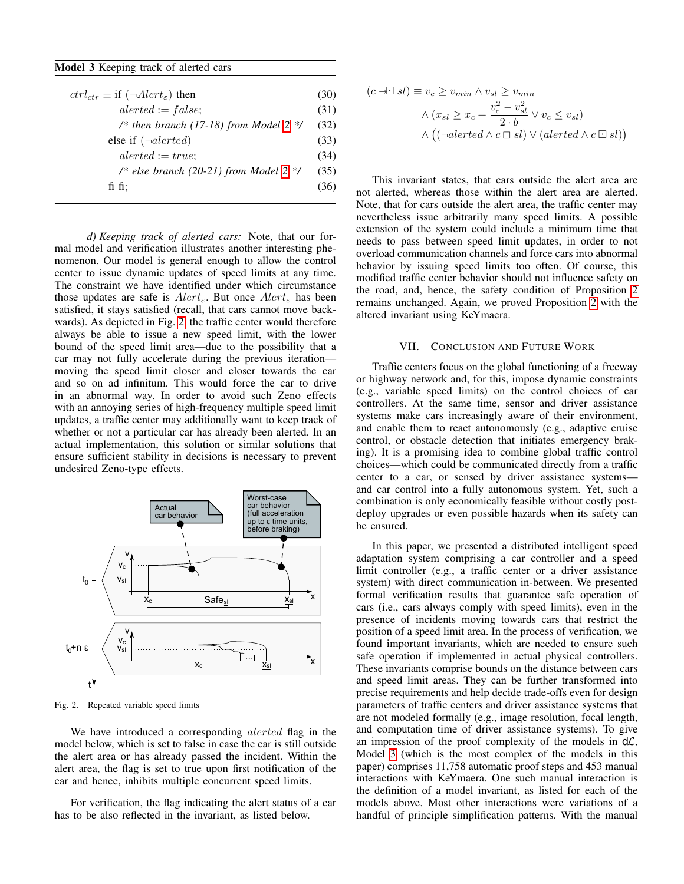Model 3 Keeping track of alerted cars

<span id="page-7-2"></span>

| $ctrl_{ctr} \equiv$ if $(\neg$ <i>Alert<sub>ε</sub></i> ) then | (30) |
|----------------------------------------------------------------|------|
| $alerted := false;$                                            | (31) |
| /* then branch (17-18) from Model 2 $*/$                       | (32) |
| else if $(\neg{}alerted)$                                      |      |
| $alerted := true;$                                             | (34) |
| /* else branch (20-21) from Model 2 */                         | (35) |
| fi fi:                                                         | (36) |
|                                                                |      |

*d) Keeping track of alerted cars:* Note, that our formal model and verification illustrates another interesting phenomenon. Our model is general enough to allow the control center to issue dynamic updates of speed limits at any time. The constraint we have identified under which circumstance those updates are safe is  $Alert_{\epsilon}$ . But once  $Alert_{\epsilon}$  has been satisfied, it stays satisfied (recall, that cars cannot move backwards). As depicted in Fig. [2,](#page-7-1) the traffic center would therefore always be able to issue a new speed limit, with the lower bound of the speed limit area—due to the possibility that a car may not fully accelerate during the previous iteration moving the speed limit closer and closer towards the car and so on ad infinitum. This would force the car to drive in an abnormal way. In order to avoid such Zeno effects with an annoying series of high-frequency multiple speed limit updates, a traffic center may additionally want to keep track of whether or not a particular car has already been alerted. In an actual implementation, this solution or similar solutions that ensure sufficient stability in decisions is necessary to prevent undesired Zeno-type effects.



Fig. 2. Repeated variable speed limits

We have introduced a corresponding *alerted* flag in the model below, which is set to false in case the car is still outside the alert area or has already passed the incident. Within the alert area, the flag is set to true upon first notification of the car and hence, inhibits multiple concurrent speed limits.

For verification, the flag indicating the alert status of a car has to be also reflected in the invariant, as listed below.

$$
(c \neg \Box sl) \equiv v_c \ge v_{min} \land v_{sl} \ge v_{min}
$$

$$
\land (x_{sl} \ge x_c + \frac{v_c^2 - v_{sl}^2}{2 \cdot b} \lor v_c \le v_{sl})
$$

$$
\land ((\neg alerted \land c \Box sl) \lor (alerted \land c \Box sl))
$$

This invariant states, that cars outside the alert area are not alerted, whereas those within the alert area are alerted. Note, that for cars outside the alert area, the traffic center may nevertheless issue arbitrarily many speed limits. A possible extension of the system could include a minimum time that needs to pass between speed limit updates, in order to not overload communication channels and force cars into abnormal behavior by issuing speed limits too often. Of course, this modified traffic center behavior should not influence safety on the road, and, hence, the safety condition of Proposition [2](#page-6-1) remains unchanged. Again, we proved Proposition [2](#page-6-1) with the altered invariant using KeYmaera.

#### VII. CONCLUSION AND FUTURE WORK

<span id="page-7-0"></span>Traffic centers focus on the global functioning of a freeway or highway network and, for this, impose dynamic constraints (e.g., variable speed limits) on the control choices of car controllers. At the same time, sensor and driver assistance systems make cars increasingly aware of their environment, and enable them to react autonomously (e.g., adaptive cruise control, or obstacle detection that initiates emergency braking). It is a promising idea to combine global traffic control choices—which could be communicated directly from a traffic center to a car, or sensed by driver assistance systems and car control into a fully autonomous system. Yet, such a combination is only economically feasible without costly postdeploy upgrades or even possible hazards when its safety can be ensured.

<span id="page-7-1"></span>In this paper, we presented a distributed intelligent speed adaptation system comprising a car controller and a speed limit controller (e.g., a traffic center or a driver assistance system) with direct communication in-between. We presented formal verification results that guarantee safe operation of cars (i.e., cars always comply with speed limits), even in the presence of incidents moving towards cars that restrict the position of a speed limit area. In the process of verification, we found important invariants, which are needed to ensure such safe operation if implemented in actual physical controllers. These invariants comprise bounds on the distance between cars and speed limit areas. They can be further transformed into precise requirements and help decide trade-offs even for design parameters of traffic centers and driver assistance systems that are not modeled formally (e.g., image resolution, focal length, and computation time of driver assistance systems). To give an impression of the proof complexity of the models in  $d\mathcal{L}$ , Model [3](#page-7-2) (which is the most complex of the models in this paper) comprises 11,758 automatic proof steps and 453 manual interactions with KeYmaera. One such manual interaction is the definition of a model invariant, as listed for each of the models above. Most other interactions were variations of a handful of principle simplification patterns. With the manual